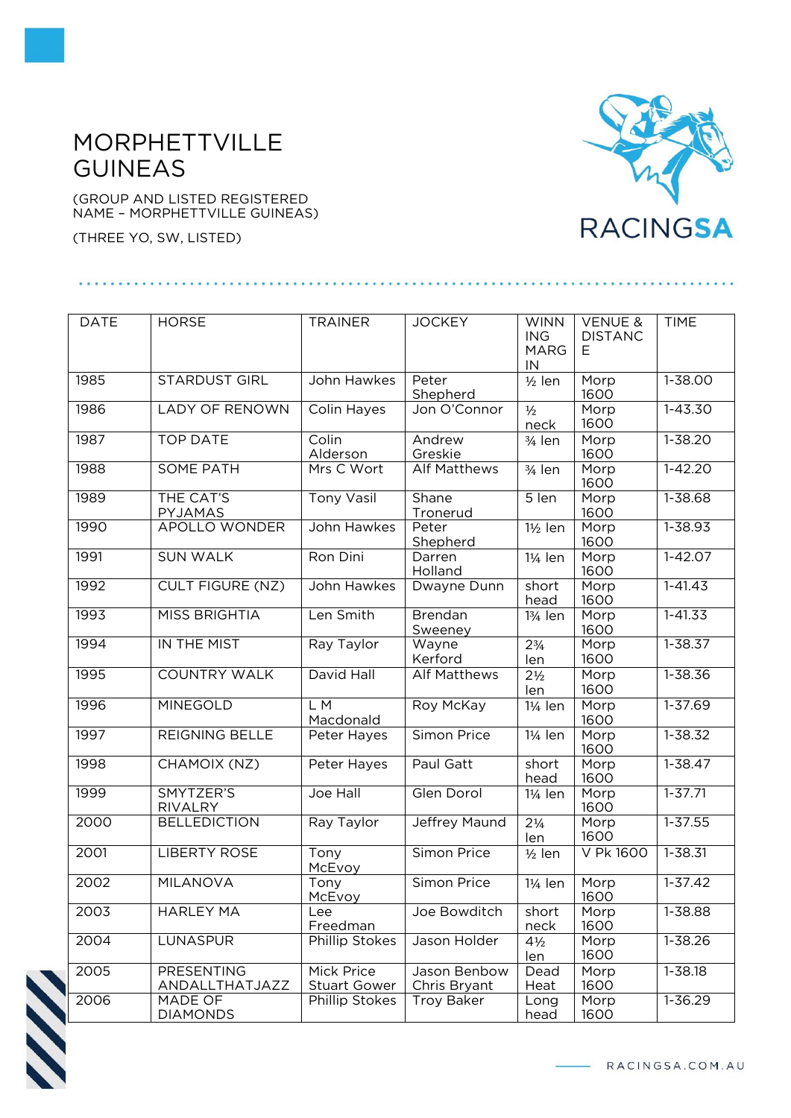## MORPHETTVILLE GUINEAS

(GROUP AND LISTED REGISTERED NAME – MORPHETTVILLE GUINEAS)

(THREE YO, SW, LISTED)



| <b>DATE</b> | <b>HORSE</b>                 | <b>TRAINER</b>                    | <b>JOCKEY</b>                | <b>WINN</b><br><b>ING</b><br><b>MARG</b><br>IN | <b>VENUE &amp;</b><br><b>DISTANC</b><br>Ε | <b>TIME</b> |
|-------------|------------------------------|-----------------------------------|------------------------------|------------------------------------------------|-------------------------------------------|-------------|
| 1985        | <b>STARDUST GIRL</b>         | John Hawkes                       | Peter<br>Shepherd            | $1/2$ len                                      | Morp<br>1600                              | $1 - 38.00$ |
| 1986        | <b>LADY OF RENOWN</b>        | Colin Hayes                       | Jon O'Connor                 | $1/2$<br>neck                                  | Morp<br>1600                              | $1 - 43.30$ |
| 1987        | <b>TOP DATE</b>              | Colin<br>Alderson                 | Andrew<br>Greskie            | 3/ <sub>4</sub> len                            | Morp<br>1600                              | $1 - 38.20$ |
| 1988        | <b>SOME PATH</b>             | Mrs C Wort                        | <b>Alf Matthews</b>          | 3/ <sub>4</sub> len                            | Morp<br>1600                              | $1 - 42.20$ |
| 1989        | THE CAT'S<br>PYJAMAS         | <b>Tony Vasil</b>                 | Shane<br>Tronerud            | 5 len                                          | Morp<br>1600                              | 1-38.68     |
| 1990        | APOLLO WONDER                | John Hawkes                       | Peter<br>Shepherd            | 1½ len                                         | Morp<br>1600                              | $1 - 38.93$ |
| 1991        | <b>SUN WALK</b>              | Ron Dini                          | Darren<br>Holland            | 1¼ len                                         | Morp<br>1600                              | $1 - 42.07$ |
| 1992        | <b>CULT FIGURE (NZ)</b>      | John Hawkes                       | Dwayne Dunn                  | short<br>head                                  | Morp<br>1600                              | $1 - 41.43$ |
| 1993        | <b>MISS BRIGHTIA</b>         | Len Smith                         | Brendan<br>Sweeney           | 13/ <sub>4</sub> len                           | Morp<br>1600                              | $1 - 41.33$ |
| 1994        | IN THE MIST                  | Ray Taylor                        | Wayne<br>Kerford             | $2\frac{3}{4}$<br>len                          | Morp<br>1600                              | $1 - 38.37$ |
| 1995        | <b>COUNTRY WALK</b>          | David Hall                        | <b>Alf Matthews</b>          | 2 <sup>1</sup> / <sub>2</sub><br>len           | Morp<br>1600                              | $1 - 38.36$ |
| 1996        | <b>MINEGOLD</b>              | L M<br>Macdonald                  | Roy McKay                    | 11/ <sub>4</sub> len                           | Morp<br>1600                              | $1 - 37.69$ |
| 1997        | <b>REIGNING BELLE</b>        | Peter Hayes                       | Simon Price                  | 11/ <sub>4</sub> len                           | Morp<br>1600                              | $1 - 38.32$ |
| 1998        | CHAMOIX (NZ)                 | Peter Hayes                       | Paul Gatt                    | short<br>head                                  | Morp<br>1600                              | $1 - 38.47$ |
| 1999        | SMYTZER'S<br><b>RIVALRY</b>  | Joe Hall                          | Glen Dorol                   | 11/ <sub>4</sub> len                           | Morp<br>1600                              | $1 - 37.71$ |
| 2000        | <b>BELLEDICTION</b>          | Ray Taylor                        | Jeffrey Maund                | $2\frac{1}{4}$<br>len                          | Morp<br>1600                              | $1 - 37.55$ |
| 2001        | <b>LIBERTY ROSE</b>          | Tony<br>McEvoy                    | Simon Price                  | $\frac{1}{2}$ len                              | V Pk 1600                                 | 1-38.31     |
| 2002        | <b>MILANOVA</b>              | Tony<br>McEvoy                    | Simon Price                  | 1¼ len                                         | Morp<br>1600                              | $1 - 37.42$ |
| 2003        | <b>HARLEY MA</b>             | Lee<br>Freedman                   | Joe Bowditch                 | short<br>neck                                  | Morp<br>1600                              | 1-38.88     |
| 2004        | LUNASPUR                     | Phillip Stokes                    | Jason Holder                 | $4\frac{1}{2}$<br>len                          | Morp<br>1600                              | 1-38.26     |
| 2005        | PRESENTING<br>ANDALLTHATJAZZ | Mick Price<br><b>Stuart Gower</b> | Jason Benbow<br>Chris Bryant | Dead<br><b>Heat</b>                            | Morp<br>1600                              | 1-38.18     |
| 2006        | MADE OF<br><b>DIAMONDS</b>   | Phillip Stokes                    | Troy Baker                   | Long<br>head                                   | Morp<br>1600                              | 1-36.29     |



- RACINGSA.COM.AU